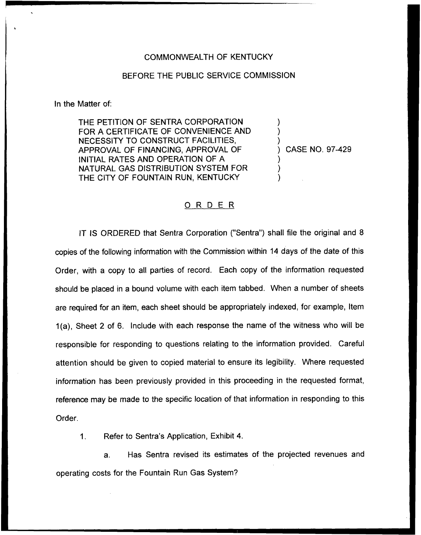## COMMONWEALTH OF KENTUCKY

## BEFORE THE PUBLIC SERVICE COMMISSION

In the Matter of:

THE PETITION OF SENTRA CORPORATION FOR A CERTIFICATE OF CONVENIENCE AND NECESSITY TO CONSTRUCT FACILITIES, APPROVAL OF FINANCING, APPROVAL OF INITIAL RATES AND OPERATION OF A NATURAL GAS DISTRIBUTION SYSTEM FOR THE CITY OF FOUNTAIN RUN, KENTUCKY

) CASE NO. 97-429

) ) )

> ) ) )

## 0 <sup>R</sup> <sup>D</sup> <sup>E</sup> <sup>R</sup>

IT IS ORDERED that Sentra Corporation ("Sentra") shall file the original and 8 copies of the following information with the Commission within 14 days of the date of this Order, with a copy to all parties of record. Each copy of the information requested should be placed in a bound volume with each item tabbed. When a number of sheets are required for an item, each sheet should be appropriately indexed, for example, Item 1(a), Sheet 2 of 6. Include with each response the name of the witness who will be responsible for responding to questions relating to the information provided. Careful attention should be given to copied material to ensure its legibility. Where requested information has been previously provided in this proceeding in the requested format, reference may be made to the specific location of that information in responding to this Order.

Refer to Sentra's Application, Exhibit 4.  $1<sub>1</sub>$ 

a. Has Sentra revised its estimates of the projected revenues and operating costs for the Fountain Run Gas System?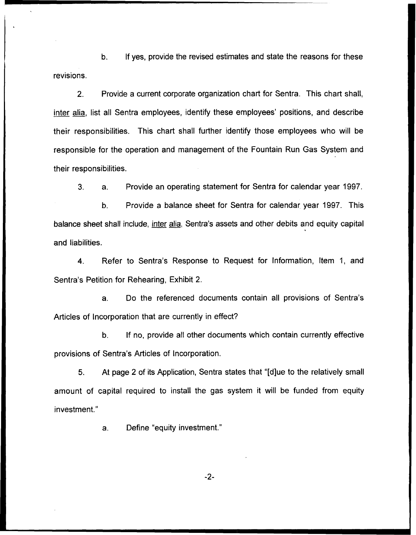b. If yes, provide the revised estimates and state the reasons for these revisions.

 $2.$ Provide a current corporate organization chart for Sentra. This chart shall, inter alia, list all Sentra employees, identify these employees' positions, and describe their responsibilities. This chart shall further identify those employees who will be responsible for the operation and management of the Fountain Run Gas System and their responsibilities.

3. a. Provide an operating statement for Sentra for calendar year 1997.

b. Provide a balance sheet for Sentra for calendar year 1997. This balance sheet shall include, inter alia, Sentra's assets and other debits and equity capital and liabilities.

4. Refer to Sentra's Response to Request for Information, Item 1, and Sentra's Petition for Rehearing, Exhibit 2.

a. Do the referenced documents contain all provisions of Sentra's Articles of Incorporation that are currently in effect?

b. If no, provide all other documents which contain currently effective provisions of Sentra's Articles of Incorporation.

5. At page 2 of its Application, Sentra states that "[d]ue to the relatively small amount of capital required to install the gas system it will be funded from equity investment."

a. Define "equity investment."

-2-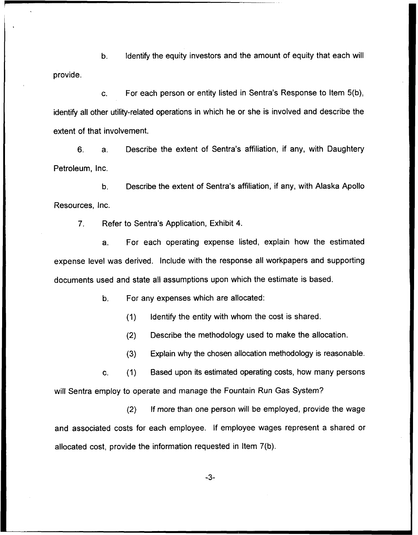b. Identify the equity investors and the amount of equity that each will provide.

c. For each person or entity listed in Sentra's Response to Item 5(b), identify all other utility-related operations in which he or she is involved and describe the extent of that involvement.

6. a. Describe the extent of Sentra's affiliation, if any, with Daughtery Petroleum, lnc.

b, Describe the extent of Sentra's affiliation, if any, with Alaska Apollo Resources, Inc.

7. Refer to Sentra's Application, Exhibit 4.

a. For each operating expense listed, explain how the estimated expense level was derived. Include with the response all workpapers and supporting documents used and state all assumptions upon which the estimate is based.

b. For any expenses which are allocated:

(1) Identify the entity with whom the cost is shared.

(2) Describe the methodology used to make the allocation.

(3) Explain why the chosen allocation methodology is reasonable.

c. (1) Based upon its estimated operating costs, how many persons will Sentra employ to operate and manage the Fountain Run Gas System?

(2) If more than one person will be employed, provide the wage and associated costs for each employee. If employee wages represent a shared or allocated cost, provide the information requested in Item 7(b).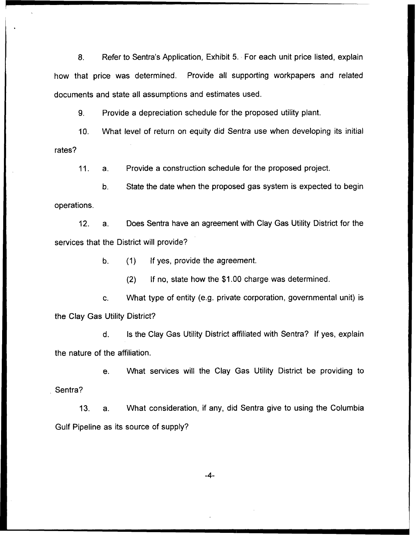8. Refer to Sentra's Application, Exhibit 5. For each unit price listed, explain how that price was determined. Provide all supporting workpapers and related documents and state all assumptions and estimates used.

9. Provide a depreciation schedule for the proposed utility plant.

10. What level of return on equity did Sentra use when developing its initial rates?

11. a. Provide a construction schedule for the proposed project.

b. State the date when the proposed gas system is expected to begin operations.

12. a. Does Sentra have an agreement with Clay Gas Utility District for the services that the District will provide?

b. (1) If yes, provide the agreement.

(2) If no, state how the \$1.00 charge was determined.

c. VVhat type of entity (e.g. private corporation, governmental unit) is the Clay Gas Utility District?

ls the Clay Gas Utility District affiliated with Sentra? If yes, explain  $\mathsf{d}$ . the nature of the affiliation.

e. What services will the Clay Gas Utility District be providing to Sentra?

13. a. What consideration, if any, did Sentra give to using the Columbia Gulf Pipeline as its source of supply'

-4-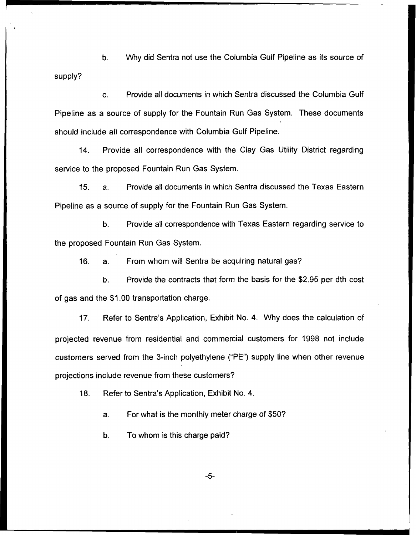b. Why did Sentra not use the Columbia Gulf Pipeline as its source of supply?

c. Provide all documents in which Sentra discussed the Columbia Gulf Pipeline as a source of supply for the Fountain Run Gas System. These documents should include all correspondence with Columbia Gulf Pipeline.

14. Provide all correspondence with the Clay Gas Utility District regarding service to the proposed Fountain Run Gas System.

 $15.$ Provide all documents in which Sentra discussed the Texas Eastern  $a<sub>1</sub>$ Pipeline as a source of supply for the Fountain Run Gas System.

b. Provide all correspondence with Texas Eastern regarding service to the proposed Fountain Run Gas System.

16. a. From whom will Sentra be acquiring natural gas?

b. Provide the contracts that form the basis for the \$2.95 per dth cost of gas and the \$1.00 transportation charge.

17. Refer to Sentra's Application, Exhibit No. 4. Why does the calculation of projected revenue from residential and commercial customers for 1998 not include customers served from the 3-inch polyethylene ("PE") supply line when other revenue projections include revenue from these customers'?

18. Refer to Sentra's Application, Exhibit No. 4.

a. For what is the monthly meter charge of \$50?

b. To whom is this charge paid?

 $-5-$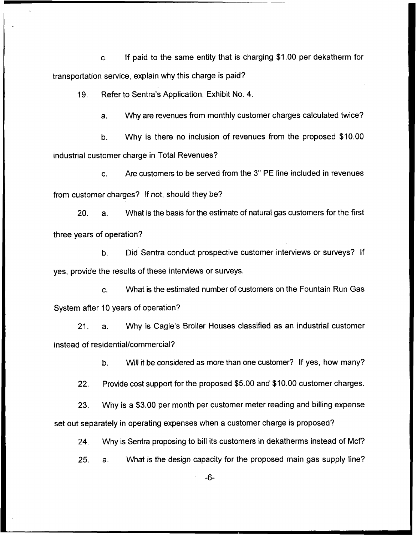c. If paid to the same entity that is charging \$1.00 per dekatherm for transportation service, explain why this charge is paid?

19. Refer to Sentra's Application, Exhibit No. 4.

a. VVhy are revenues from monthly customer charges calculated twice?

b, VVhy is there no inclusion of revenues from the proposed \$10.00 industrial customer charge in Total Revenues?

c. Are customers to be served from the 3" PE line included in revenues from customer charges? If not, should they be?

20. a. What is the basis for the estimate of natural gas customers for the first three years of operation?

b. Did Sentra conduct prospective customer interviews or surveys? If yes, provide the results of these interviews or surveys.

c. What is the estimated number of customers on the Fountain Run Gas System after 10 years of operation?

21. a. VVhy is Cagle's Broiler Houses classified as an industrial customer instead of residential/commercial?

b. Will it be considered as more than one customer? If yes, how many?

22. Provide cost support for the proposed \$5,00 and \$10.00 customer charges.

23. Why is a \$3.00 per month per customer meter reading and billing expense set out separately in operating expenses when a customer charge is proposed?

24. Why is Sentra proposing to bill its customers in dekatherms instead of Mcf?

25. a. What is the design capacity for the proposed main gas supply line?